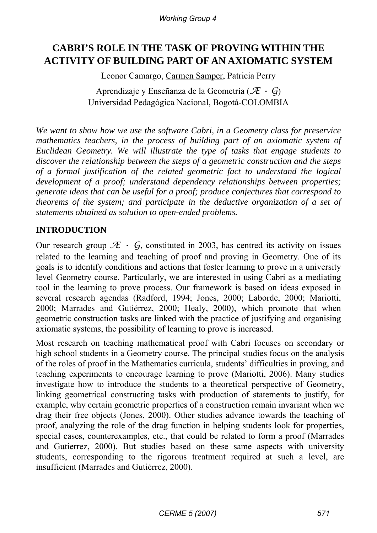*Working Group 4*

# **CABRI'S ROLE IN THE TASK OF PROVING WITHIN THE ACTIVITY OF BUILDING PART OF AN AXIOMATIC SYSTEM**

Leonor Camargo, Carmen Samper, Patricia Perry

Aprendizaje y Enseñanza de la Geometría (*Æ • G*) Universidad Pedagógica Nacional, Bogotá-COLOMBIA

*We want to show how we use the software Cabri, in a Geometry class for preservice mathematics teachers, in the process of building part of an axiomatic system of Euclidean Geometry. We will illustrate the type of tasks that engage students to discover the relationship between the steps of a geometric construction and the steps of a formal justification of the related geometric fact to understand the logical development of a proof; understand dependency relationships between properties; generate ideas that can be useful for a proof; produce conjectures that correspond to theorems of the system; and participate in the deductive organization of a set of statements obtained as solution to open-ended problems.* 

# **INTRODUCTION**

Our research group  $\mathcal{F} \cdot G$ , constituted in 2003, has centred its activity on issues related to the learning and teaching of proof and proving in Geometry. One of its goals is to identify conditions and actions that foster learning to prove in a university level Geometry course. Particularly, we are interested in using Cabri as a mediating tool in the learning to prove process. Our framework is based on ideas exposed in several research agendas (Radford, 1994; Jones, 2000; Laborde, 2000; Mariotti, 2000; Marrades and Gutiérrez, 2000; Healy, 2000), which promote that when geometric construction tasks are linked with the practice of justifying and organising axiomatic systems, the possibility of learning to prove is increased.

Most research on teaching mathematical proof with Cabri focuses on secondary or high school students in a Geometry course. The principal studies focus on the analysis of the roles of proof in the Mathematics curricula, students' difficulties in proving, and teaching experiments to encourage learning to prove (Mariotti, 2006). Many studies investigate how to introduce the students to a theoretical perspective of Geometry, linking geometrical constructing tasks with production of statements to justify, for example, why certain geometric properties of a construction remain invariant when we drag their free objects (Jones, 2000). Other studies advance towards the teaching of proof, analyzing the role of the drag function in helping students look for properties, special cases, counterexamples, etc., that could be related to form a proof (Marrades and Gutierrez, 2000). But studies based on these same aspects with university students, corresponding to the rigorous treatment required at such a level, are insufficient (Marrades and Gutiérrez, 2000).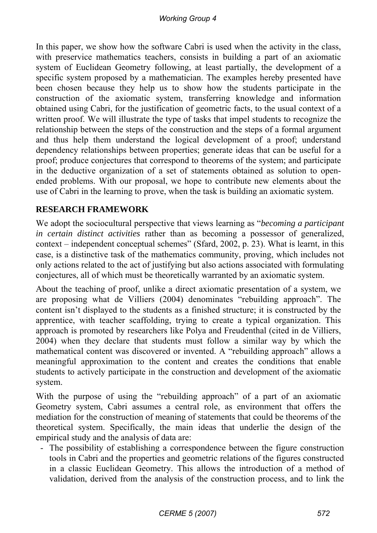In this paper, we show how the software Cabri is used when the activity in the class, with preservice mathematics teachers, consists in building a part of an axiomatic system of Euclidean Geometry following, at least partially, the development of a specific system proposed by a mathematician. The examples hereby presented have been chosen because they help us to show how the students participate in the construction of the axiomatic system, transferring knowledge and information obtained using Cabri, for the justification of geometric facts, to the usual context of a written proof. We will illustrate the type of tasks that impel students to recognize the relationship between the steps of the construction and the steps of a formal argument and thus help them understand the logical development of a proof; understand dependency relationships between properties; generate ideas that can be useful for a proof; produce conjectures that correspond to theorems of the system; and participate in the deductive organization of a set of statements obtained as solution to openended problems. With our proposal, we hope to contribute new elements about the use of Cabri in the learning to prove, when the task is building an axiomatic system.

# **RESEARCH FRAMEWORK**

We adopt the sociocultural perspective that views learning as "*becoming a participant in certain distinct activities* rather than as becoming a possessor of generalized, context – independent conceptual schemes" (Sfard, 2002, p. 23). What is learnt, in this case, is a distinctive task of the mathematics community, proving, which includes not only actions related to the act of justifying but also actions associated with formulating conjectures, all of which must be theoretically warranted by an axiomatic system.

About the teaching of proof, unlike a direct axiomatic presentation of a system, we are proposing what de Villiers (2004) denominates "rebuilding approach". The content isn't displayed to the students as a finished structure; it is constructed by the apprentice, with teacher scaffolding, trying to create a typical organization. This approach is promoted by researchers like Polya and Freudenthal (cited in de Villiers, 2004) when they declare that students must follow a similar way by which the mathematical content was discovered or invented. A "rebuilding approach" allows a meaningful approximation to the content and creates the conditions that enable students to actively participate in the construction and development of the axiomatic system.

With the purpose of using the "rebuilding approach" of a part of an axiomatic Geometry system, Cabri assumes a central role, as environment that offers the mediation for the construction of meaning of statements that could be theorems of the theoretical system. Specifically, the main ideas that underlie the design of the empirical study and the analysis of data are:

- The possibility of establishing a correspondence between the figure construction tools in Cabri and the properties and geometric relations of the figures constructed in a classic Euclidean Geometry. This allows the introduction of a method of validation, derived from the analysis of the construction process, and to link the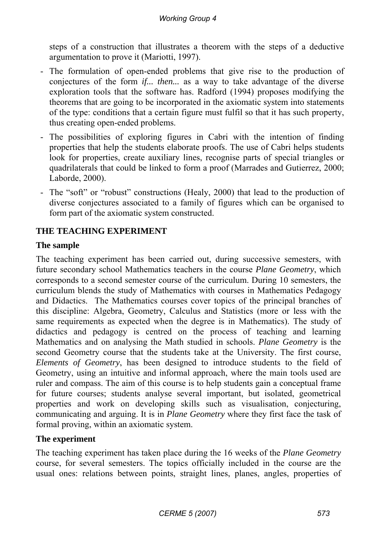steps of a construction that illustrates a theorem with the steps of a deductive argumentation to prove it (Mariotti, 1997).

- The formulation of open-ended problems that give rise to the production of conjectures of the form *if... then...* as a way to take advantage of the diverse exploration tools that the software has. Radford (1994) proposes modifying the theorems that are going to be incorporated in the axiomatic system into statements of the type: conditions that a certain figure must fulfil so that it has such property, thus creating open-ended problems.
- The possibilities of exploring figures in Cabri with the intention of finding properties that help the students elaborate proofs. The use of Cabri helps students look for properties, create auxiliary lines, recognise parts of special triangles or quadrilaterals that could be linked to form a proof (Marrades and Gutierrez, 2000; Laborde, 2000).
- The "soft" or "robust" constructions (Healy, 2000) that lead to the production of diverse conjectures associated to a family of figures which can be organised to form part of the axiomatic system constructed.

# **THE TEACHING EXPERIMENT**

# **The sample**

The teaching experiment has been carried out, during successive semesters, with future secondary school Mathematics teachers in the course *Plane Geometry*, which corresponds to a second semester course of the curriculum. During 10 semesters, the curriculum blends the study of Mathematics with courses in Mathematics Pedagogy and Didactics. The Mathematics courses cover topics of the principal branches of this discipline: Algebra, Geometry, Calculus and Statistics (more or less with the same requirements as expected when the degree is in Mathematics). The study of didactics and pedagogy is centred on the process of teaching and learning Mathematics and on analysing the Math studied in schools. *Plane Geometry* is the second Geometry course that the students take at the University. The first course, *Elements of Geometry*, has been designed to introduce students to the field of Geometry, using an intuitive and informal approach, where the main tools used are ruler and compass. The aim of this course is to help students gain a conceptual frame for future courses; students analyse several important, but isolated, geometrical properties and work on developing skills such as visualisation, conjecturing, communicating and arguing. It is in *Plane Geometry* where they first face the task of formal proving, within an axiomatic system.

### **The experiment**

The teaching experiment has taken place during the 16 weeks of the *Plane Geometry*  course, for several semesters. The topics officially included in the course are the usual ones: relations between points, straight lines, planes, angles, properties of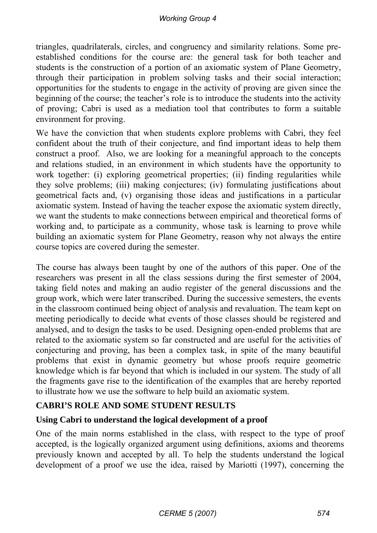triangles, quadrilaterals, circles, and congruency and similarity relations. Some preestablished conditions for the course are: the general task for both teacher and students is the construction of a portion of an axiomatic system of Plane Geometry, through their participation in problem solving tasks and their social interaction; opportunities for the students to engage in the activity of proving are given since the beginning of the course; the teacher's role is to introduce the students into the activity of proving; Cabri is used as a mediation tool that contributes to form a suitable environment for proving.

We have the conviction that when students explore problems with Cabri, they feel confident about the truth of their conjecture, and find important ideas to help them construct a proof. Also, we are looking for a meaningful approach to the concepts and relations studied, in an environment in which students have the opportunity to work together: (i) exploring geometrical properties; (ii) finding regularities while they solve problems; (iii) making conjectures; (iv) formulating justifications about geometrical facts and, (v) organising those ideas and justifications in a particular axiomatic system. Instead of having the teacher expose the axiomatic system directly, we want the students to make connections between empirical and theoretical forms of working and, to participate as a community, whose task is learning to prove while building an axiomatic system for Plane Geometry, reason why not always the entire course topics are covered during the semester.

The course has always been taught by one of the authors of this paper. One of the researchers was present in all the class sessions during the first semester of 2004, taking field notes and making an audio register of the general discussions and the group work, which were later transcribed. During the successive semesters, the events in the classroom continued being object of analysis and revaluation. The team kept on meeting periodically to decide what events of those classes should be registered and analysed, and to design the tasks to be used. Designing open-ended problems that are related to the axiomatic system so far constructed and are useful for the activities of conjecturing and proving, has been a complex task, in spite of the many beautiful problems that exist in dynamic geometry but whose proofs require geometric knowledge which is far beyond that which is included in our system. The study of all the fragments gave rise to the identification of the examples that are hereby reported to illustrate how we use the software to help build an axiomatic system.

# **CABRI'S ROLE AND SOME STUDENT RESULTS**

### **Using Cabri to understand the logical development of a proof**

One of the main norms established in the class, with respect to the type of proof accepted, is the logically organized argument using definitions, axioms and theorems previously known and accepted by all. To help the students understand the logical development of a proof we use the idea, raised by Mariotti (1997), concerning the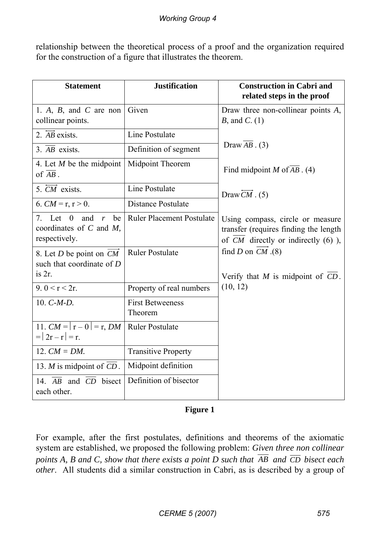relationship between the theoretical process of a proof and the organization required for the construction of a figure that illustrates the theorem.

| <b>Statement</b>                                                                                           | <b>Justification</b>               | <b>Construction in Cabri and</b><br>related steps in the proof                                                       |
|------------------------------------------------------------------------------------------------------------|------------------------------------|----------------------------------------------------------------------------------------------------------------------|
| 1. A, B, and C are non<br>collinear points.                                                                | Given                              | Draw three non-collinear points $A$ ,<br>$B$ , and $C$ . (1)                                                         |
| 2. $\overrightarrow{AB}$ exists.                                                                           | Line Postulate                     |                                                                                                                      |
| 3. $\overline{AB}$ exists.                                                                                 | Definition of segment              | Draw $AB \cdot (3)$                                                                                                  |
| 4. Let $M$ be the midpoint<br>of $\overline{AB}$ .                                                         | Midpoint Theorem                   | Find midpoint $M$ of $AB$ . (4)                                                                                      |
| 5. CM exists.                                                                                              | Line Postulate                     | Draw $CM$ . (5)                                                                                                      |
| 6. $CM = r, r > 0$ .                                                                                       | <b>Distance Postulate</b>          |                                                                                                                      |
| 7. Let<br>$\overline{0}$<br>and<br>be<br>$\boldsymbol{r}$<br>coordinates of $C$ and $M$ ,<br>respectively. | <b>Ruler Placement Postulate</b>   | Using compass, circle or measure<br>transfer (requires finding the length<br>of $CM$ directly or indirectly $(6)$ ), |
| 8. Let D be point on CM<br>such that coordinate of $D$                                                     | <b>Ruler Postulate</b>             | find D on $CM$ (8)                                                                                                   |
| is 2r.                                                                                                     |                                    | Verify that $M$ is midpoint of $CD$ .                                                                                |
| 9. $0 < r < 2r$ .                                                                                          | Property of real numbers           | (10, 12)                                                                                                             |
| 10. $C-M-D$ .                                                                                              | <b>First Betweeness</b><br>Theorem |                                                                                                                      |
| 11. $CM =  r - 0  = r$ , DM<br>$=  2r - r  = r.$                                                           | <b>Ruler Postulate</b>             |                                                                                                                      |
| 12. $CM = DM$ .                                                                                            | <b>Transitive Property</b>         |                                                                                                                      |
| 13. <i>M</i> is midpoint of <i>CD</i> .                                                                    | Midpoint definition                |                                                                                                                      |
| 14. AB and CD bisect<br>each other.                                                                        | Definition of bisector             |                                                                                                                      |

**Figure 1** 

For example, after the first postulates, definitions and theorems of the axiomatic system are established, we proposed the following problem: *Given three non collinear points A, B and C, show that there exists a point D such that*  $\overline{AB}$  and  $\overline{CD}$  bisect each *other*. All students did a similar construction in Cabri, as is described by a group of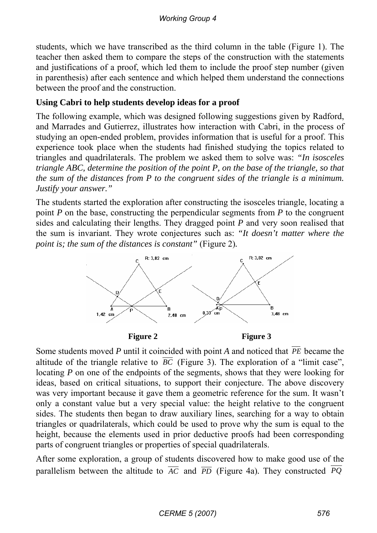students, which we have transcribed as the third column in the table (Figure 1). The teacher then asked them to compare the steps of the construction with the statements and justifications of a proof, which led them to include the proof step number (given in parenthesis) after each sentence and which helped them understand the connections between the proof and the construction.

# **Using Cabri to help students develop ideas for a proof**

The following example, which was designed following suggestions given by Radford, and Marrades and Gutierrez, illustrates how interaction with Cabri, in the process of studying an open-ended problem, provides information that is useful for a proof. This experience took place when the students had finished studying the topics related to triangles and quadrilaterals. The problem we asked them to solve was: *"In isosceles triangle ABC, determine the position of the point P, on the base of the triangle, so that the sum of the distances from P to the congruent sides of the triangle is a minimum. Justify your answer."*

The students started the exploration after constructing the isosceles triangle, locating a point *P* on the base, constructing the perpendicular segments from *P* to the congruent sides and calculating their lengths. They dragged point *P* and very soon realised that the sum is invariant. They wrote conjectures such as: *"It doesn't matter where the point is; the sum of the distances is constant"* (Figure 2).



Figure 2 Figure 3

Some students moved *P* until it coincided with point *A* and noticed that *PE* became the altitude of the triangle relative to  $\overline{BC}$  (Figure 3). The exploration of a "limit case", locating *P* on one of the endpoints of the segments, shows that they were looking for ideas, based on critical situations, to support their conjecture. The above discovery was very important because it gave them a geometric reference for the sum. It wasn't only a constant value but a very special value: the height relative to the congruent sides. The students then began to draw auxiliary lines, searching for a way to obtain triangles or quadrilaterals, which could be used to prove why the sum is equal to the height, because the elements used in prior deductive proofs had been corresponding parts of congruent triangles or properties of special quadrilaterals.

After some exploration, a group of students discovered how to make good use of the parallelism between the altitude to  $\overline{AC}$  and  $\overline{PD}$  (Figure 4a). They constructed PQ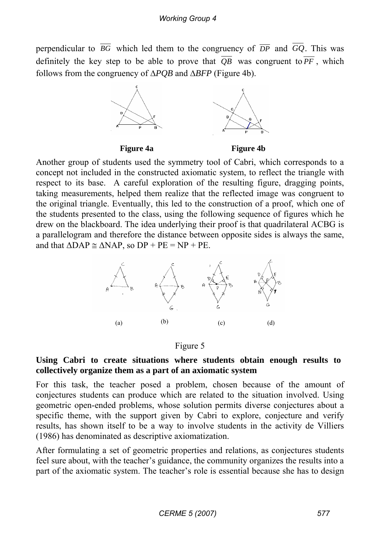perpendicular to  $\overline{BG}$  which led them to the congruency of  $\overline{DP}$  and  $GQ$ . This was definitely the key step to be able to prove that  $\overline{OB}$  was congruent to  $\overline{PF}$ , which follows from the congruency of Δ*PQB* and Δ*BFP* (Figure 4b).



Another group of students used the symmetry tool of Cabri, which corresponds to a concept not included in the constructed axiomatic system, to reflect the triangle with respect to its base. A careful exploration of the resulting figure, dragging points, taking measurements, helped them realize that the reflected image was congruent to the original triangle. Eventually, this led to the construction of a proof, which one of the students presented to the class, using the following sequence of figures which he drew on the blackboard. The idea underlying their proof is that quadrilateral ACBG is a parallelogram and therefore the distance between opposite sides is always the same, and that  $\triangle DAP \cong \triangle NAP$ , so  $DP + PE = NP + PE$ .



#### Figure 5

#### **Using Cabri to create situations where students obtain enough results to collectively organize them as a part of an axiomatic system**

For this task, the teacher posed a problem, chosen because of the amount of conjectures students can produce which are related to the situation involved. Using geometric open-ended problems, whose solution permits diverse conjectures about a specific theme, with the support given by Cabri to explore, conjecture and verify results, has shown itself to be a way to involve students in the activity de Villiers (1986) has denominated as descriptive axiomatization.

After formulating a set of geometric properties and relations, as conjectures students feel sure about, with the teacher's guidance, the community organizes the results into a part of the axiomatic system. The teacher's role is essential because she has to design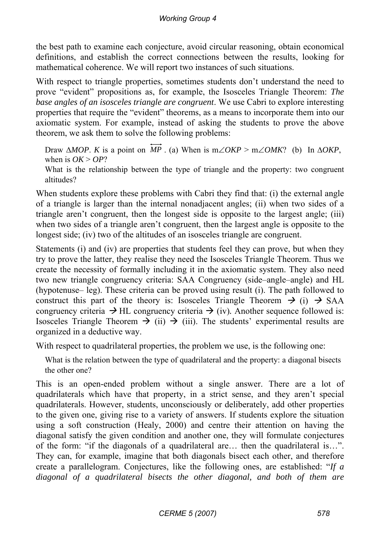the best path to examine each conjecture, avoid circular reasoning, obtain economical definitions, and establish the correct connections between the results, looking for mathematical coherence. We will report two instances of such situations.

With respect to triangle properties, sometimes students don't understand the need to prove "evident" propositions as, for example, the Isosceles Triangle Theorem: *The base angles of an isosceles triangle are congruent*. We use Cabri to explore interesting properties that require the "evident" theorems, as a means to incorporate them into our axiomatic system. For example, instead of asking the students to prove the above theorem, we ask them to solve the following problems:

Draw  $\triangle MOP$ . *K* is a point on  $\overrightarrow{MP}$ . (a) When is m∠*OKP* > m∠*OMK*? (b) In  $\triangle OKP$ , when is  $OK > OP$ ?

What is the relationship between the type of triangle and the property: two congruent altitudes?

When students explore these problems with Cabri they find that: (i) the external angle of a triangle is larger than the internal nonadjacent angles; (ii) when two sides of a triangle aren't congruent, then the longest side is opposite to the largest angle; (iii) when two sides of a triangle aren't congruent, then the largest angle is opposite to the longest side; (iv) two of the altitudes of an isosceles triangle are congruent.

Statements (i) and (iv) are properties that students feel they can prove, but when they try to prove the latter, they realise they need the Isosceles Triangle Theorem. Thus we create the necessity of formally including it in the axiomatic system. They also need two new triangle congruency criteria: SAA Congruency (side–angle–angle) and HL (hypotenuse– leg). These criteria can be proved using result (i). The path followed to construct this part of the theory is: Isosceles Triangle Theorem  $\rightarrow$  (i)  $\rightarrow$  SAA congruency criteria  $\rightarrow$  HL congruency criteria  $\rightarrow$  (iv). Another sequence followed is: Isosceles Triangle Theorem  $\rightarrow$  (ii)  $\rightarrow$  (iii). The students' experimental results are organized in a deductive way.

With respect to quadrilateral properties, the problem we use, is the following one:

What is the relation between the type of quadrilateral and the property: a diagonal bisects the other one?

This is an open-ended problem without a single answer. There are a lot of quadrilaterals which have that property, in a strict sense, and they aren't special quadrilaterals. However, students, unconsciously or deliberately, add other properties to the given one, giving rise to a variety of answers. If students explore the situation using a soft construction (Healy, 2000) and centre their attention on having the diagonal satisfy the given condition and another one, they will formulate conjectures of the form: "if the diagonals of a quadrilateral are… then the quadrilateral is…". They can, for example, imagine that both diagonals bisect each other, and therefore create a parallelogram. Conjectures, like the following ones, are established: "*If a diagonal of a quadrilateral bisects the other diagonal, and both of them are*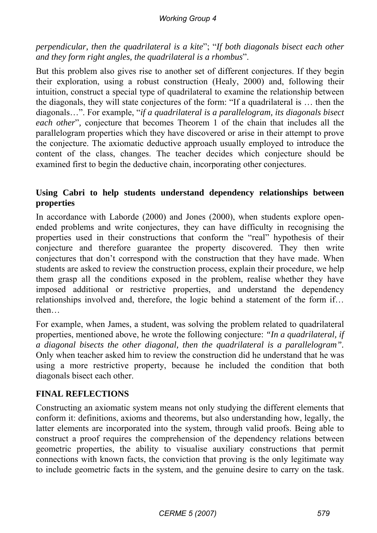#### *Working Group 4*

*perpendicular, then the quadrilateral is a kite*"; "*If both diagonals bisect each other and they form right angles, the quadrilateral is a rhombus*".

But this problem also gives rise to another set of different conjectures. If they begin their exploration, using a robust construction (Healy, 2000) and, following their intuition, construct a special type of quadrilateral to examine the relationship between the diagonals, they will state conjectures of the form: "If a quadrilateral is … then the diagonals…". For example, "*if a quadrilateral is a parallelogram, its diagonals bisect each other*"*,* conjecture that becomes Theorem 1 of the chain that includes all the parallelogram properties which they have discovered or arise in their attempt to prove the conjecture. The axiomatic deductive approach usually employed to introduce the content of the class, changes. The teacher decides which conjecture should be examined first to begin the deductive chain, incorporating other conjectures.

#### **Using Cabri to help students understand dependency relationships between properties**

In accordance with Laborde (2000) and Jones (2000), when students explore openended problems and write conjectures, they can have difficulty in recognising the properties used in their constructions that conform the "real" hypothesis of their conjecture and therefore guarantee the property discovered. They then write conjectures that don't correspond with the construction that they have made. When students are asked to review the construction process, explain their procedure, we help them grasp all the conditions exposed in the problem, realise whether they have imposed additional or restrictive properties, and understand the dependency relationships involved and, therefore, the logic behind a statement of the form if… then…

For example, when James, a student, was solving the problem related to quadrilateral properties, mentioned above, he wrote the following conjecture: *"In a quadrilateral, if a diagonal bisects the other diagonal, then the quadrilateral is a parallelogram".*  Only when teacher asked him to review the construction did he understand that he was using a more restrictive property, because he included the condition that both diagonals bisect each other.

### **FINAL REFLECTIONS**

Constructing an axiomatic system means not only studying the different elements that conform it: definitions, axioms and theorems, but also understanding how, legally, the latter elements are incorporated into the system, through valid proofs. Being able to construct a proof requires the comprehension of the dependency relations between geometric properties, the ability to visualise auxiliary constructions that permit connections with known facts, the conviction that proving is the only legitimate way to include geometric facts in the system, and the genuine desire to carry on the task.